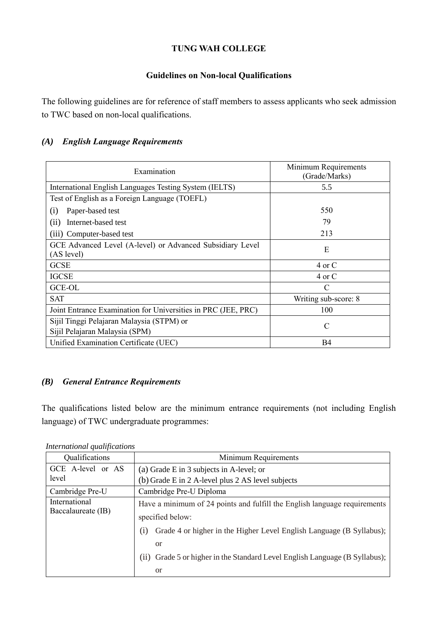# **TUNG WAH COLLEGE**

#### **Guidelines on Non-local Qualifications**

The following guidelines are for reference of staff members to assess applicants who seek admission to TWC based on non-local qualifications.

## *(A) English Language Requirements*

| Examination                                                                 | Minimum Requirements<br>(Grade/Marks) |
|-----------------------------------------------------------------------------|---------------------------------------|
| International English Languages Testing System (IELTS)                      | 5.5                                   |
| Test of English as a Foreign Language (TOEFL)                               |                                       |
| Paper-based test<br>(i)                                                     | 550                                   |
| (ii)<br>Internet-based test                                                 | 79                                    |
| (iii) Computer-based test                                                   | 213                                   |
| GCE Advanced Level (A-level) or Advanced Subsidiary Level<br>(AS level)     | E                                     |
| <b>GCSE</b>                                                                 | 4 or C                                |
| <b>IGCSE</b>                                                                | 4 or C                                |
| <b>GCE-OL</b>                                                               | $\mathcal{C}$                         |
| <b>SAT</b>                                                                  | Writing sub-score: 8                  |
| Joint Entrance Examination for Universities in PRC (JEE, PRC)               | 100                                   |
| Sijil Tinggi Pelajaran Malaysia (STPM) or<br>Sijil Pelajaran Malaysia (SPM) | $\mathcal{C}$                         |
| Unified Examination Certificate (UEC)                                       | <b>B4</b>                             |

# *(B) General Entrance Requirements*

The qualifications listed below are the minimum entrance requirements (not including English language) of TWC undergraduate programmes:

| Qualifications                      | Minimum Requirements                                                        |
|-------------------------------------|-----------------------------------------------------------------------------|
| GCE A-level or AS<br>level          | (a) Grade E in 3 subjects in A-level; or                                    |
|                                     | (b) Grade E in 2 A-level plus 2 AS level subjects                           |
| Cambridge Pre-U                     | Cambridge Pre-U Diploma                                                     |
| International<br>Baccalaureate (IB) | Have a minimum of 24 points and fulfill the English language requirements   |
|                                     | specified below:                                                            |
|                                     | Grade 4 or higher in the Higher Level English Language (B Syllabus);<br>(1) |
|                                     | <sub>or</sub>                                                               |
|                                     | (ii) Grade 5 or higher in the Standard Level English Language (B Syllabus); |
|                                     | <sub>or</sub>                                                               |

*International qualifications*